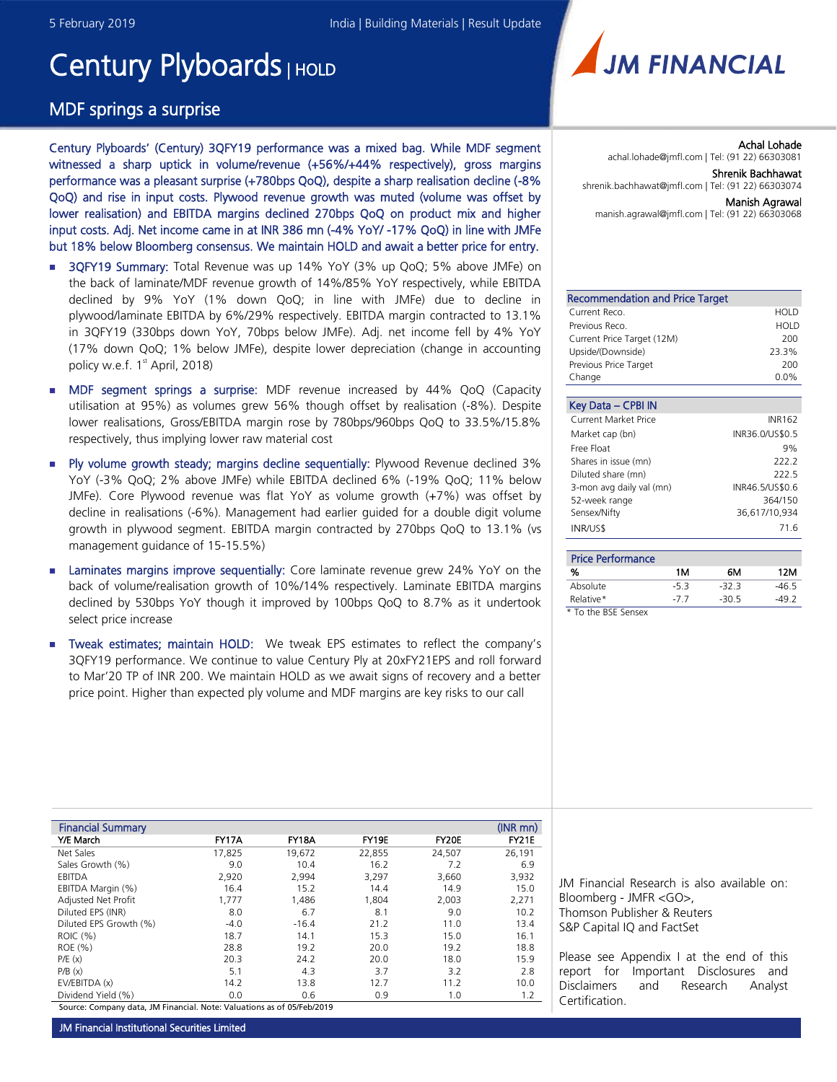# Century Plyboards | HOLD

# MDF springs a surprise

Century Plyboards' (Century) 3QFY19 performance was a mixed bag. While MDF segment witnessed a sharp uptick in volume/revenue (+56%/+44% respectively), gross margins performance was a pleasant surprise (+780bps QoQ), despite a sharp realisation decline (-8% QoQ) and rise in input costs. Plywood revenue growth was muted (volume was offset by lower realisation) and EBITDA margins declined 270bps QoQ on product mix and higher input costs. Adj. Net income came in at INR 386 mn (-4% YoY/ -17% QoQ) in line with JMFe but 18% below Bloomberg consensus. We maintain HOLD and await a better price for entry.

- **3QFY19 Summary:** Total Revenue was up 14% YoY (3% up QoQ; 5% above JMFe) on the back of laminate/MDF revenue growth of 14%/85% YoY respectively, while EBITDA declined by 9% YoY (1% down QoQ; in line with JMFe) due to decline in plywood/laminate EBITDA by 6%/29% respectively. EBITDA margin contracted to 13.1% in 3QFY19 (330bps down YoY, 70bps below JMFe). Adj. net income fell by 4% YoY (17% down QoQ; 1% below JMFe), despite lower depreciation (change in accounting policy w.e.f. 1<sup>st</sup> April, 2018)
- MDF segment springs a surprise: MDF revenue increased by 44% QoQ (Capacity utilisation at 95%) as volumes grew 56% though offset by realisation (-8%). Despite lower realisations, Gross/EBITDA margin rose by 780bps/960bps QoQ to 33.5%/15.8% respectively, thus implying lower raw material cost
- Ply volume growth steady; margins decline sequentially: Plywood Revenue declined 3% YoY (-3% QoQ; 2% above JMFe) while EBITDA declined 6% (-19% QoQ; 11% below JMFe). Core Plywood revenue was flat YoY as volume growth (+7%) was offset by decline in realisations (-6%). Management had earlier guided for a double digit volume growth in plywood segment. EBITDA margin contracted by 270bps QoQ to 13.1% (vs management guidance of 15-15.5%)
- **Examinates margins improve sequentially:** Core laminate revenue grew 24% YoY on the back of volume/realisation growth of 10%/14% respectively. Laminate EBITDA margins declined by 530bps YoY though it improved by 100bps QoQ to 8.7% as it undertook select price increase
- Tweak estimates; maintain HOLD: We tweak EPS estimates to reflect the company's 3QFY19 performance. We continue to value Century Ply at 20xFY21EPS and roll forward to Mar'20 TP of INR 200. We maintain HOLD as we await signs of recovery and a better price point. Higher than expected ply volume and MDF margins are key risks to our call

| <b>Financial Summary</b>                                        |        |              |        |        | $(INR$ mn $)$ |
|-----------------------------------------------------------------|--------|--------------|--------|--------|---------------|
| Y/E March                                                       | FY17A  | <b>FY18A</b> | FY19E  | FY20E  | FY21E         |
| Net Sales                                                       | 17.825 | 19,672       | 22,855 | 24,507 | 26.191        |
| Sales Growth (%)                                                | 9.0    | 10.4         | 16.2   | 7.2    | 6.9           |
| EBITDA                                                          | 2,920  | 2,994        | 3,297  | 3,660  | 3,932         |
| EBITDA Margin (%)                                               | 16.4   | 15.2         | 14.4   | 14.9   | 15.0          |
| Adjusted Net Profit                                             | 1,777  | 1,486        | 1,804  | 2,003  | 2,271         |
| Diluted EPS (INR)                                               | 8.0    | 6.7          | 8.1    | 9.0    | 10.2          |
| Diluted EPS Growth (%)                                          | $-4.0$ | $-16.4$      | 21.2   | 11.0   | 13.4          |
| ROIC (%)                                                        | 18.7   | 14.1         | 15.3   | 15.0   | 16.1          |
| ROE (%)                                                         | 28.8   | 19.2         | 20.0   | 19.2   | 18.8          |
| P/E(x)                                                          | 20.3   | 24.2         | 20.0   | 18.0   | 15.9          |
| P/B(x)                                                          | 5.1    | 4.3          | 3.7    | 3.2    | 2.8           |
| EV/EBITDA (x)                                                   | 14.2   | 13.8         | 12.7   | 11.2   | 10.0          |
| Dividend Yield (%)                                              | 0.0    | 0.6          | 0.9    | 1.0    | 1.2           |
| Correct Commons data IM Figurial NaturNelsations of AFIFALI2010 |        |              |        |        |               |

Source: Company data, JM Financial. Note: Valuations as of 05/Feb/2019



Achal Lohade achal.lohade@jmfl.com | Tel: (91 22) 66303081 Shrenik Bachhawat shrenik.bachhawat@jmfl.com | Tel: (91 22) 66303074 Manish Agrawal

manish.agrawal@jmfl.com | Tel: (91 22) 66303068

| HOLD    |
|---------|
| HOLD    |
| 200     |
| 23.3%   |
| 200     |
| $0.0\%$ |
|         |

| Key Data - CPBI IN          |                 |
|-----------------------------|-----------------|
| <b>Current Market Price</b> | <b>INR162</b>   |
| Market cap (bn)             | INR36.0/US\$0.5 |
| Free Float                  | 9%              |
| Shares in issue (mn)        | 222.2           |
| Diluted share (mn)          | 222.5           |
| 3-mon avg daily val (mn)    | INR46.5/US\$0.6 |
| 52-week range               | 364/150         |
| Sensex/Nifty                | 36,617/10,934   |
| <b>INR/US\$</b>             | 71 6            |

| <b>Price Performance</b> |       |         |       |
|--------------------------|-------|---------|-------|
| %                        | 1M    | 6М      | 12M   |
| Absolute                 | -53   | -32.3   | -46.5 |
| Relative*                | $-77$ | $-30.5$ | -49.2 |

*\* To the BSE Sensex*

JM Financial Research is also available on: Bloomberg - JMFR <GO>, Thomson Publisher & Reuters S&P Capital IQ and FactSet

Please see Appendix I at the end of this report for Important Disclosures and Disclaimers and Research Analyst Certification.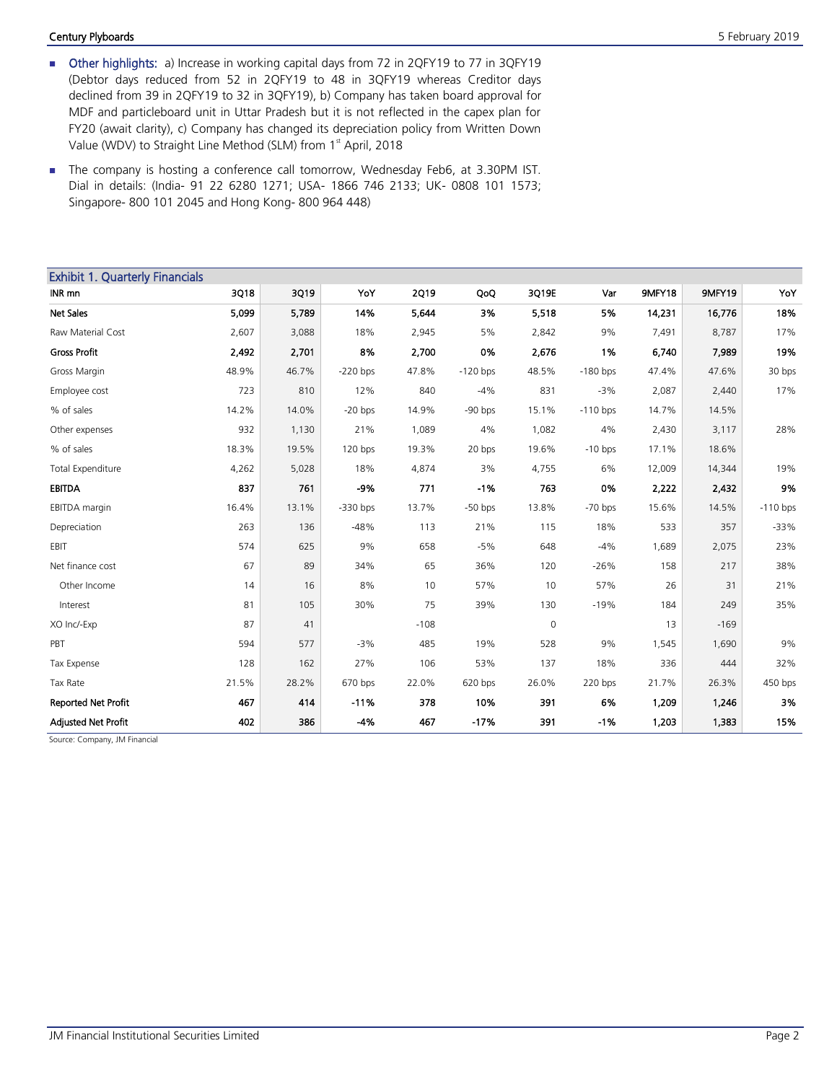#### Century Plyboards **5 February 2019**

- Other highlights: a) Increase in working capital days from 72 in 2QFY19 to 77 in 3QFY19 (Debtor days reduced from 52 in 2QFY19 to 48 in 3QFY19 whereas Creditor days declined from 39 in 2QFY19 to 32 in 3QFY19), b) Company has taken board approval for MDF and particleboard unit in Uttar Pradesh but it is not reflected in the capex plan for FY20 (await clarity), c) Company has changed its depreciation policy from Written Down Value (WDV) to Straight Line Method (SLM) from 1<sup>st</sup> April, 2018
- The company is hosting a conference call tomorrow, Wednesday Feb6, at 3.30PM IST. Dial in details: (India- 91 22 6280 1271; USA- 1866 746 2133; UK- 0808 101 1573; Singapore- 800 101 2045 and Hong Kong- 800 964 448)

| <b>Exhibit 1. Quarterly Financials</b> |       |       |            |             |            |             |            |        |        |            |
|----------------------------------------|-------|-------|------------|-------------|------------|-------------|------------|--------|--------|------------|
| INR mn                                 | 3Q18  | 3Q19  | YoY        | <b>2Q19</b> | QoQ        | 3Q19E       | Var        | 9MFY18 | 9MFY19 | YoY        |
| Net Sales                              | 5,099 | 5,789 | 14%        | 5,644       | 3%         | 5,518       | 5%         | 14,231 | 16,776 | 18%        |
| Raw Material Cost                      | 2,607 | 3,088 | 18%        | 2,945       | 5%         | 2,842       | 9%         | 7,491  | 8,787  | 17%        |
| <b>Gross Profit</b>                    | 2,492 | 2,701 | 8%         | 2,700       | 0%         | 2,676       | 1%         | 6,740  | 7,989  | 19%        |
| Gross Margin                           | 48.9% | 46.7% | $-220$ bps | 47.8%       | $-120$ bps | 48.5%       | $-180$ bps | 47.4%  | 47.6%  | 30 bps     |
| Employee cost                          | 723   | 810   | 12%        | 840         | $-4%$      | 831         | $-3%$      | 2,087  | 2,440  | 17%        |
| % of sales                             | 14.2% | 14.0% | $-20$ bps  | 14.9%       | $-90$ bps  | 15.1%       | $-110$ bps | 14.7%  | 14.5%  |            |
| Other expenses                         | 932   | 1,130 | 21%        | 1,089       | 4%         | 1,082       | 4%         | 2,430  | 3,117  | 28%        |
| % of sales                             | 18.3% | 19.5% | $120$ bps  | 19.3%       | 20 bps     | 19.6%       | $-10$ bps  | 17.1%  | 18.6%  |            |
| <b>Total Expenditure</b>               | 4,262 | 5,028 | 18%        | 4,874       | 3%         | 4,755       | 6%         | 12,009 | 14,344 | 19%        |
| <b>EBITDA</b>                          | 837   | 761   | $-9%$      | 771         | $-1%$      | 763         | 0%         | 2,222  | 2,432  | 9%         |
| EBITDA margin                          | 16.4% | 13.1% | $-330$ bps | 13.7%       | $-50$ bps  | 13.8%       | $-70$ bps  | 15.6%  | 14.5%  | $-110$ bps |
| Depreciation                           | 263   | 136   | $-48%$     | 113         | 21%        | 115         | 18%        | 533    | 357    | $-33%$     |
| <b>EBIT</b>                            | 574   | 625   | 9%         | 658         | $-5%$      | 648         | $-4%$      | 1,689  | 2,075  | 23%        |
| Net finance cost                       | 67    | 89    | 34%        | 65          | 36%        | 120         | $-26%$     | 158    | 217    | 38%        |
| Other Income                           | 14    | 16    | 8%         | 10          | 57%        | 10          | 57%        | 26     | 31     | 21%        |
| Interest                               | 81    | 105   | 30%        | 75          | 39%        | 130         | $-19%$     | 184    | 249    | 35%        |
| XO Inc/-Exp                            | 87    | 41    |            | $-108$      |            | $\mathbf 0$ |            | 13     | $-169$ |            |
| PBT                                    | 594   | 577   | $-3%$      | 485         | 19%        | 528         | 9%         | 1,545  | 1,690  | 9%         |
| Tax Expense                            | 128   | 162   | 27%        | 106         | 53%        | 137         | 18%        | 336    | 444    | 32%        |
| Tax Rate                               | 21.5% | 28.2% | 670 bps    | 22.0%       | 620 bps    | 26.0%       | 220 bps    | 21.7%  | 26.3%  | 450 bps    |
| <b>Reported Net Profit</b>             | 467   | 414   | $-11%$     | 378         | 10%        | 391         | 6%         | 1,209  | 1,246  | 3%         |
| <b>Adjusted Net Profit</b>             | 402   | 386   | $-4%$      | 467         | $-17%$     | 391         | $-1%$      | 1,203  | 1,383  | 15%        |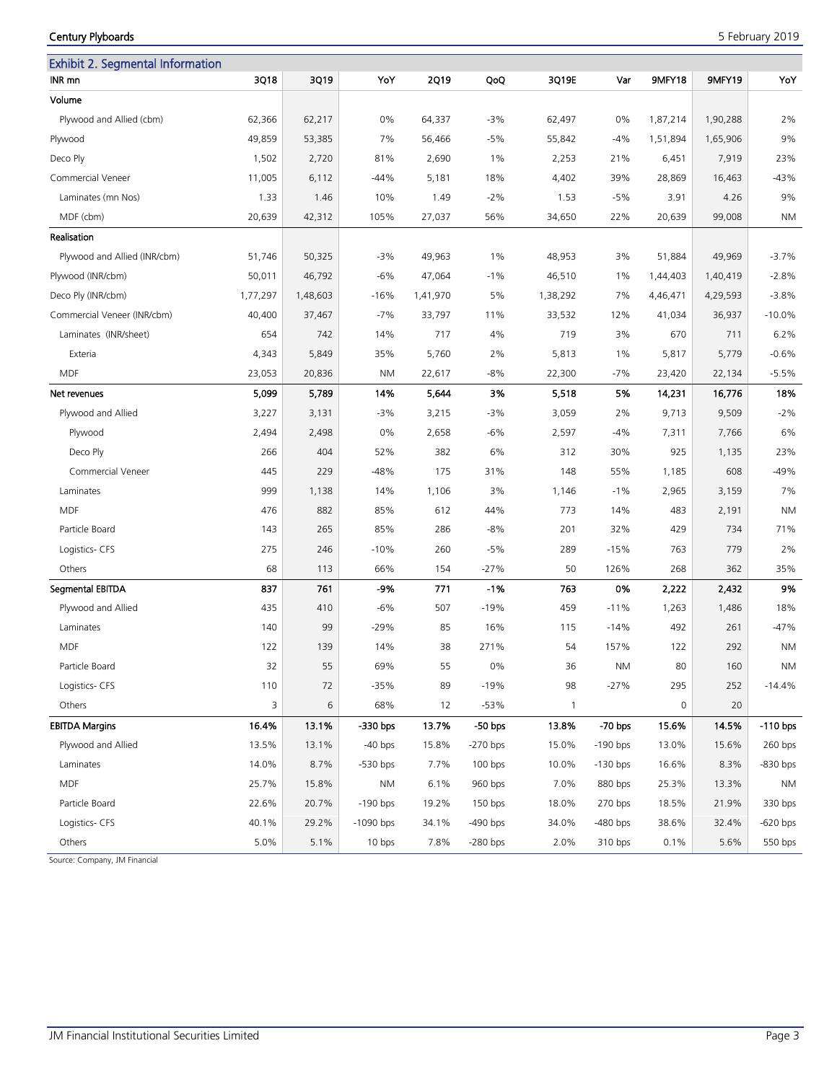# Century Plyboards 5 February 2019

| <b>Exhibit 2. Segmental Information</b> |          |          |             |             |            |              |            |                     |          |            |
|-----------------------------------------|----------|----------|-------------|-------------|------------|--------------|------------|---------------------|----------|------------|
| INR mn                                  | 3Q18     | 3Q19     | YoY         | <b>2Q19</b> | QoQ        | 3Q19E        | Var        | 9MFY18              | 9MFY19   | YoY        |
| Volume                                  |          |          |             |             |            |              |            |                     |          |            |
| Plywood and Allied (cbm)                | 62,366   | 62,217   | 0%          | 64,337      | $-3%$      | 62,497       | 0%         | 1,87,214            | 1,90,288 | 2%         |
| Plywood                                 | 49,859   | 53,385   | 7%          | 56,466      | $-5%$      | 55,842       | $-4%$      | 1,51,894            | 1,65,906 | 9%         |
| Deco Ply                                | 1,502    | 2,720    | 81%         | 2,690       | $1\%$      | 2,253        | 21%        | 6,451               | 7,919    | 23%        |
| Commercial Veneer                       | 11,005   | 6,112    | $-44%$      | 5,181       | 18%        | 4,402        | 39%        | 28,869              | 16,463   | -43%       |
| Laminates (mn Nos)                      | 1.33     | 1.46     | 10%         | 1.49        | $-2%$      | 1.53         | $-5%$      | 3.91                | 4.26     | 9%         |
| MDF (cbm)                               | 20,639   | 42,312   | 105%        | 27,037      | 56%        | 34,650       | 22%        | 20,639              | 99,008   | ΝM         |
| Realisation                             |          |          |             |             |            |              |            |                     |          |            |
| Plywood and Allied (INR/cbm)            | 51,746   | 50,325   | $-3%$       | 49,963      | $1\%$      | 48,953       | 3%         | 51,884              | 49,969   | $-3.7%$    |
| Plywood (INR/cbm)                       | 50,011   | 46,792   | $-6%$       | 47,064      | $-1%$      | 46,510       | 1%         | 1,44,403            | 1,40,419 | $-2.8%$    |
| Deco Ply (INR/cbm)                      | 1,77,297 | 1,48,603 | $-16%$      | 1,41,970    | 5%         | 1,38,292     | 7%         | 4,46,471            | 4,29,593 | $-3.8%$    |
| Commercial Veneer (INR/cbm)             | 40,400   | 37,467   | $-7%$       | 33,797      | 11%        | 33,532       | 12%        | 41,034              | 36,937   | $-10.0%$   |
| Laminates (INR/sheet)                   | 654      | 742      | 14%         | 717         | 4%         | 719          | 3%         | 670                 | 711      | 6.2%       |
| Exteria                                 | 4,343    | 5,849    | 35%         | 5,760       | 2%         | 5,813        | $1\%$      | 5,817               | 5,779    | $-0.6%$    |
| <b>MDF</b>                              | 23,053   | 20,836   | ΝM          | 22,617      | -8%        | 22,300       | $-7%$      | 23,420              | 22,134   | $-5.5%$    |
| Net revenues                            | 5,099    | 5,789    | 14%         | 5,644       | 3%         | 5,518        | 5%         | 14,231              | 16,776   | 18%        |
| Plywood and Allied                      | 3,227    | 3,131    | -3%         | 3,215       | $-3%$      | 3,059        | 2%         | 9,713               | 9,509    | $-2%$      |
| Plywood                                 | 2,494    | 2,498    | 0%          | 2,658       | $-6%$      | 2,597        | $-4%$      | 7,311               | 7,766    | 6%         |
| Deco Ply                                | 266      | 404      | 52%         | 382         | 6%         | 312          | 30%        | 925                 | 1,135    | 23%        |
| Commercial Veneer                       | 445      | 229      | $-48%$      | 175         | 31%        | 148          | 55%        | 1,185               | 608      | -49%       |
| Laminates                               | 999      | 1,138    | 14%         | 1,106       | 3%         | 1,146        | $-1%$      | 2,965               | 3,159    | 7%         |
| <b>MDF</b>                              | 476      | 882      | 85%         | 612         | 44%        | 773          | 14%        | 483                 | 2,191    | ΝM         |
| Particle Board                          | 143      | 265      | 85%         | 286         | $-8%$      | 201          | 32%        | 429                 | 734      | 71%        |
| Logistics- CFS                          | 275      | 246      | $-10%$      | 260         | $-5%$      | 289          | $-15%$     | 763                 | 779      | 2%         |
| Others                                  | 68       | 113      | 66%         | 154         | $-27%$     | 50           | 126%       | 268                 | 362      | 35%        |
| Segmental EBITDA                        | 837      | 761      | -9%         | 771         | $-1%$      | 763          | 0%         | 2,222               | 2,432    | 9%         |
| Plywood and Allied                      | 435      | 410      | $-6%$       | 507         | $-19%$     | 459          | $-11%$     | 1,263               | 1,486    | 18%        |
| Laminates                               | 140      | 99       | -29%        | 85          | 16%        | 115          | $-14%$     | 492                 | 261      | $-47%$     |
| <b>MDF</b>                              | 122      | 139      | 14%         | 38          | 271%       | 54           | 157%       | 122                 | 292      | <b>NM</b>  |
| Particle Board                          | 32       | 55       | 69%         | 55          | 0%         | 36           | <b>NM</b>  | 80                  | 160      | <b>NM</b>  |
| Logistics- CFS                          | 110      | 72       | $-35%$      | 89          | $-19%$     | 98           | $-27%$     | 295                 | 252      | $-14.4%$   |
| Others                                  | 3        | 6        | 68%         | 12          | $-53%$     | $\mathbf{1}$ |            | $\mathsf{O}\xspace$ | 20       |            |
| <b>EBITDA Margins</b>                   | 16.4%    | 13.1%    | -330 bps    | 13.7%       | $-50$ bps  | 13.8%        | $-70$ bps  | 15.6%               | 14.5%    | $-110$ bps |
| Plywood and Allied                      | 13.5%    | 13.1%    | $-40$ bps   | 15.8%       | $-270$ bps | 15.0%        | $-190$ bps | 13.0%               | 15.6%    | 260 bps    |
| Laminates                               | 14.0%    | 8.7%     | $-530$ bps  | 7.7%        | $100$ bps  | 10.0%        | $-130$ bps | 16.6%               | 8.3%     | -830 bps   |
| <b>MDF</b>                              | 25.7%    | 15.8%    | ΝM          | 6.1%        | 960 bps    | 7.0%         | 880 bps    | 25.3%               | 13.3%    | ΝM         |
| Particle Board                          | 22.6%    | 20.7%    | $-190$ bps  | 19.2%       | 150 bps    | 18.0%        | 270 bps    | 18.5%               | 21.9%    | 330 bps    |
| Logistics- CFS                          | 40.1%    | 29.2%    | $-1090$ bps | 34.1%       | -490 bps   | 34.0%        | $-480$ bps | 38.6%               | 32.4%    | $-620$ bps |
| Others                                  | 5.0%     | 5.1%     | 10 bps      | 7.8%        | $-280$ bps | 2.0%         | 310 bps    | 0.1%                | 5.6%     | 550 bps    |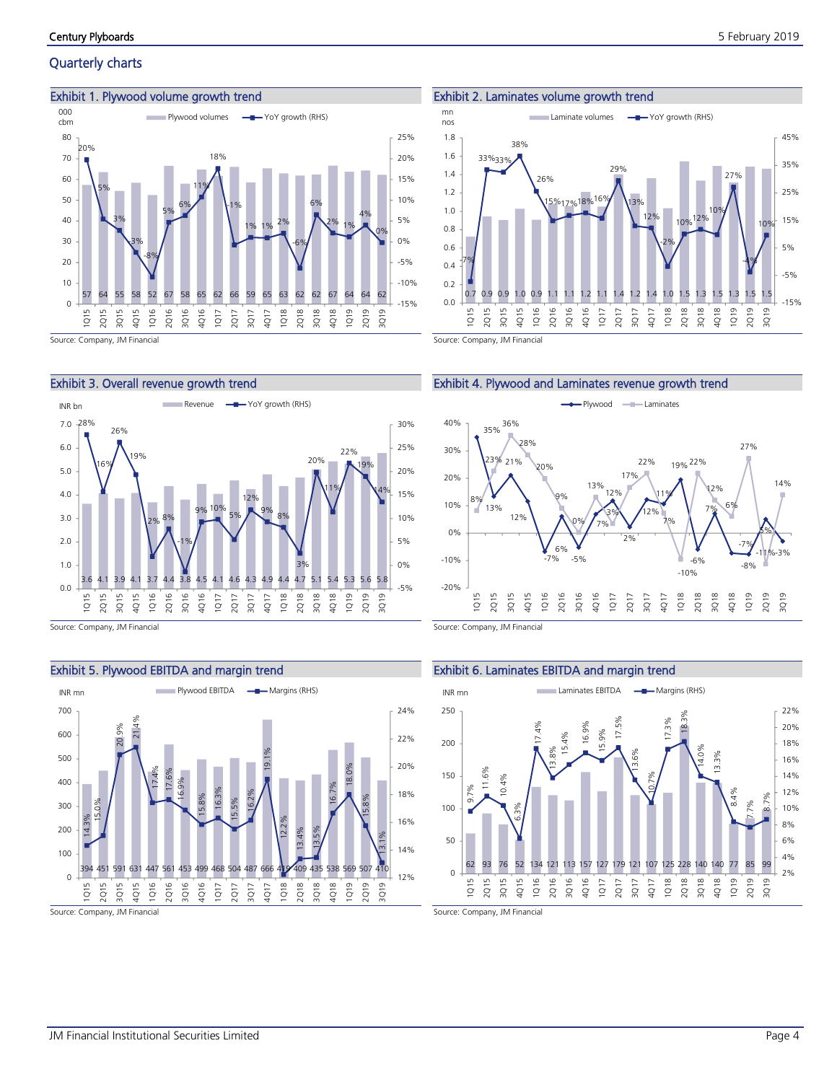# Quarterly charts

#### Exhibit 1. Plywood volume growth trend



#### Exhibit 3. Overall revenue growth trend



Source: Company, JM Financial

# Exhibit 5. Plywood EBITDA and margin trend



Source: Company, JM Financial

#### Exhibit 2. Laminates volume growth trend







Source: Company, JM Financial

#### Exhibit 6. Laminates EBITDA and margin trend

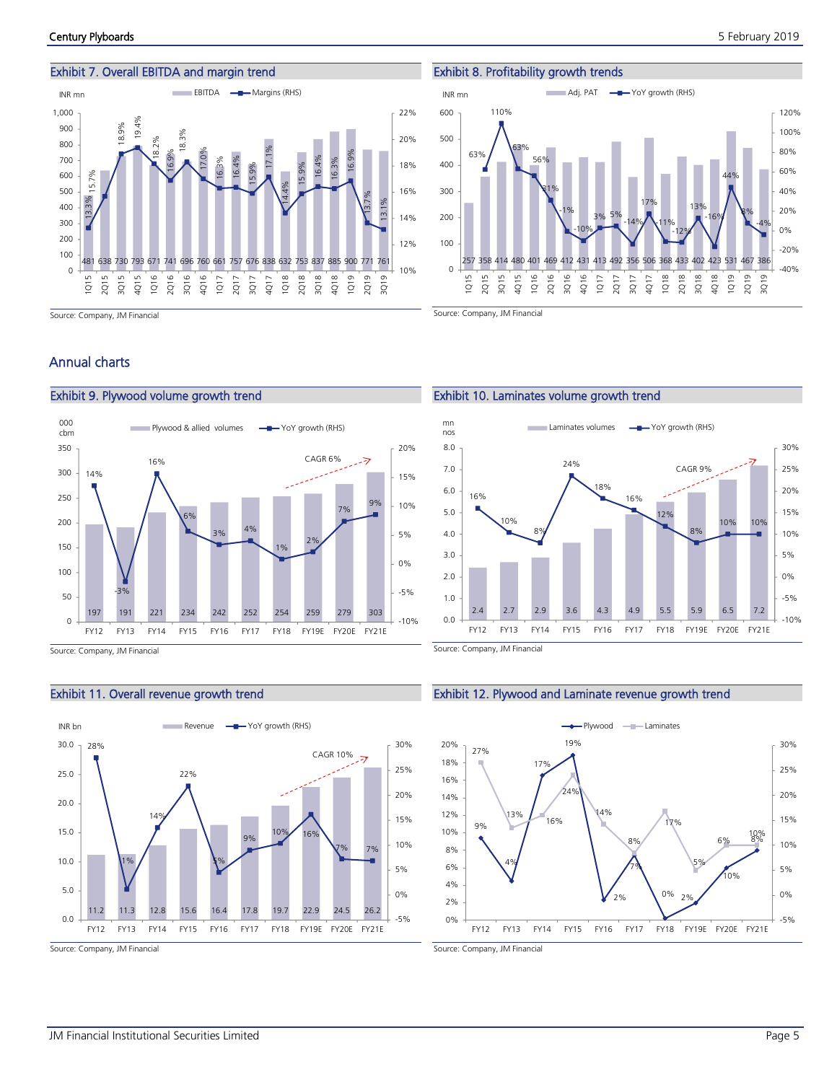## Exhibit 7. Overall EBITDA and margin trend



Source: Company, JM Financial

#### Exhibit 8. Profitability growth trends



Source: Company, JM Financial

Exhibit 10. Laminates volume growth trend

24%

 $m n$ <br>nos  $m n$  Laminates volumes  $\leftarrow$  YoY growth (RHS)

18%

16%

12%

8%

CAGR 9%

10% 10%

-10% -5% 0% 5% 10% 15% 20% 25% 30%

# Annual charts



Source: Company, JM Financial



#### Exhibit 11. Overall revenue growth trend

Exhibit 9. Plywood volume growth trend

Source: Company, JM Financial

Source: Company, JM Financial

0.0 1.0 2.0 3.0 4.0 5.0 6.0 7.0 8.0

nos

16%

10%

8%

## Exhibit 12. Plywood and Laminate revenue growth trend



2.4 2.7 2.9 3.6 4.3 4.9 5.5 5.9 6.5 7.2

FY12 FY13 FY14 FY15 FY16 FY17 FY18 FY19E FY20E FY21E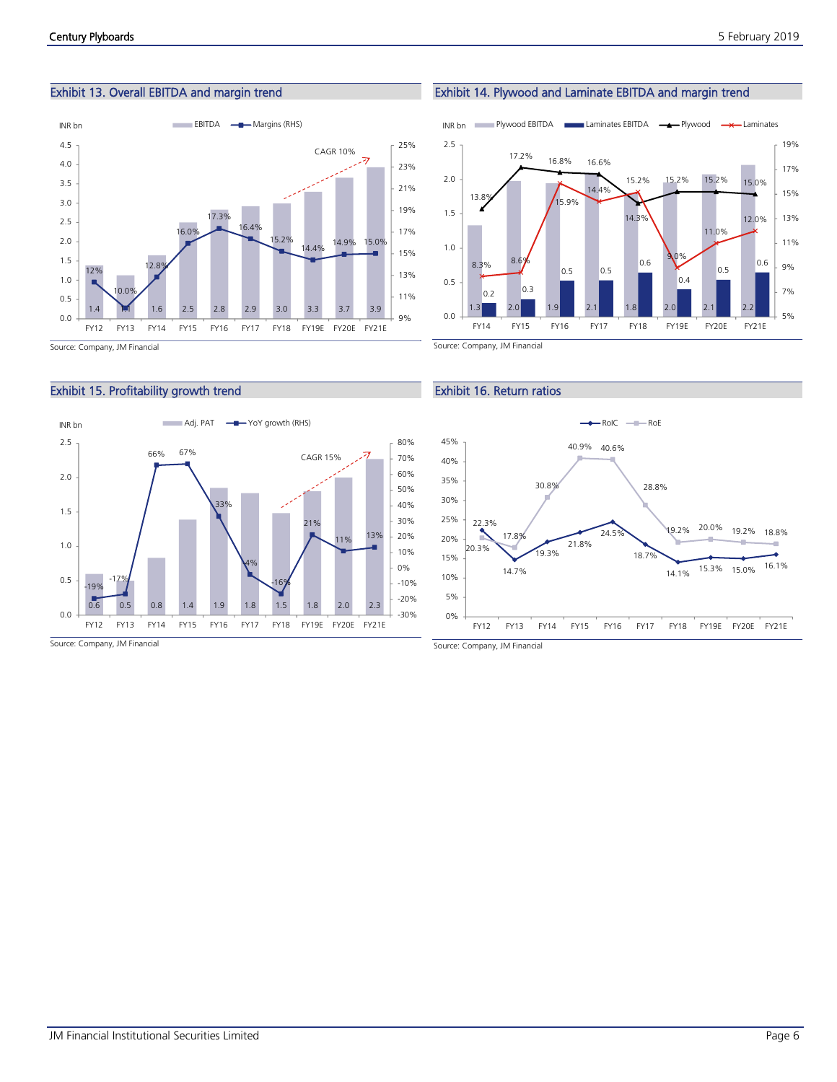# Exhibit 13. Overall EBITDA and margin trend



# Exhibit 15. Profitability growth trend



#### 1.3 2.0 1.9 2.1 1.8 2.0 2.1 2.2  $0.2$  0.3 0.5 0.5 0.6  $0.4$ 0.5 0.6 13.8% 17.2% 16.8% 16.6% 14.3% 15.2% 15.2% 15.0% 8.3% 8.6% 15.9% 14.4% 15.2% 9.0% 11.0% 12.0% 5% 7% 9% 11% 13% 15% 17% 19% 0.0 0.5 1.0 1.5 2.0 2.5 FY14 FY15 FY16 FY17 FY18 FY19E FY20E FY21E

Exhibit 14. Plywood and Laminate EBITDA and margin trend

INR bn **Plywood EBITDA Laminates EBITDA - Plywood** - X Laminates

# Exhibit 16. Return ratios

Source: Company, JM Financial



Source: Company, JM Financial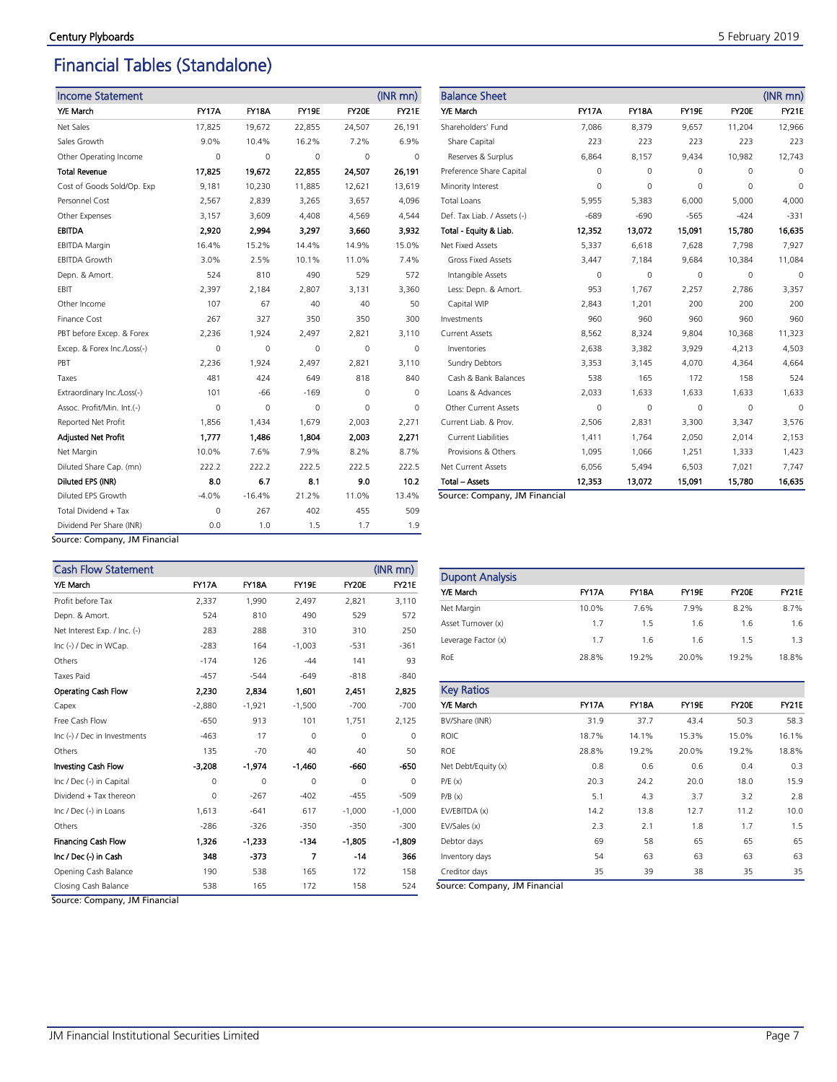# Financial Tables (Standalone)

| <b>Income Statement</b>     |              |              |          |          | (INR mn)     |
|-----------------------------|--------------|--------------|----------|----------|--------------|
| Y/E March                   | <b>FY17A</b> | <b>FY18A</b> | FY19E    | FY20E    | <b>FY21E</b> |
| Net Sales                   | 17,825       | 19,672       | 22,855   | 24,507   | 26,191       |
| Sales Growth                | 9.0%         | 10.4%        | 16.2%    | 7.2%     | 6.9%         |
| Other Operating Income      | 0            | 0            | 0        | $\Omega$ | 0            |
| <b>Total Revenue</b>        | 17,825       | 19.672       | 22.855   | 24.507   | 26,191       |
| Cost of Goods Sold/Op. Exp  | 9,181        | 10,230       | 11,885   | 12,621   | 13,619       |
| Personnel Cost              | 2,567        | 2,839        | 3,265    | 3,657    | 4,096        |
| Other Expenses              | 3,157        | 3,609        | 4,408    | 4,569    | 4,544        |
| <b>EBITDA</b>               | 2,920        | 2.994        | 3,297    | 3,660    | 3,932        |
| <b>EBITDA Margin</b>        | 16.4%        | 15.2%        | 14.4%    | 14.9%    | 15.0%        |
| <b>EBITDA Growth</b>        | 3.0%         | 2.5%         | 10.1%    | 11.0%    | 7.4%         |
| Depn. & Amort.              | 524          | 810          | 490      | 529      | 572          |
| EBIT                        | 2,397        | 2,184        | 2,807    | 3,131    | 3,360        |
| Other Income                | 107          | 67           | 40       | 40       | 50           |
| Finance Cost                | 267          | 327          | 350      | 350      | 300          |
| PBT before Excep. & Forex   | 2,236        | 1,924        | 2,497    | 2,821    | 3,110        |
| Excep. & Forex Inc./Loss(-) | 0            | 0            | 0        | 0        | 0            |
| PBT                         | 2,236        | 1,924        | 2,497    | 2,821    | 3,110        |
| Taxes                       | 481          | 424          | 649      | 818      | 840          |
| Extraordinary Inc./Loss(-)  | 101          | -66          | $-169$   | $\Omega$ | 0            |
| Assoc. Profit/Min. Int.(-)  | 0            | 0            | $\Omega$ | $\Omega$ | 0            |
| <b>Reported Net Profit</b>  | 1,856        | 1,434        | 1,679    | 2,003    | 2,271        |
| <b>Adjusted Net Profit</b>  | 1.777        | 1,486        | 1,804    | 2,003    | 2,271        |
| Net Margin                  | 10.0%        | 7.6%         | 7.9%     | 8.2%     | 8.7%         |
| Diluted Share Cap. (mn)     | 222.2        | 222.2        | 222.5    | 222.5    | 222.5        |
| Diluted EPS (INR)           | 8.0          | 6.7          | 8.1      | 9.0      | 10.2         |
| Diluted EPS Growth          | $-4.0%$      | $-16.4%$     | 21.2%    | 11.0%    | 13.4%        |
| Total Dividend + Tax        | 0            | 267          | 402      | 455      | 509          |
| Dividend Per Share (INR)    | 0.0          | 1.0          | 1.5      | 1.7      | 1.9          |

| <b>Balance Sheet</b>        |              |              |          |          | $(INR$ mn $)$ |
|-----------------------------|--------------|--------------|----------|----------|---------------|
| Y/E March                   | <b>FY17A</b> | <b>FY18A</b> | FY19E    | FY20E    | <b>FY21E</b>  |
| Shareholders' Fund          | 7,086        | 8,379        | 9,657    | 11,204   | 12,966        |
| Share Capital               | 223          | 223          | 223      | 223      | 223           |
| Reserves & Surplus          | 6,864        | 8,157        | 9,434    | 10,982   | 12,743        |
| Preference Share Capital    | 0            | 0            | $\Omega$ | $\Omega$ | 0             |
| Minority Interest           | $\Omega$     | 0            | $\Omega$ | $\Omega$ | $\Omega$      |
| <b>Total Loans</b>          | 5,955        | 5,383        | 6,000    | 5.000    | 4,000         |
| Def. Tax Liab. / Assets (-) | $-689$       | $-690$       | $-565$   | $-424$   | $-331$        |
| Total - Equity & Liab.      | 12,352       | 13,072       | 15,091   | 15,780   | 16,635        |
| Net Fixed Assets            | 5,337        | 6,618        | 7,628    | 7,798    | 7,927         |
| <b>Gross Fixed Assets</b>   | 3,447        | 7,184        | 9,684    | 10,384   | 11,084        |
| Intangible Assets           | 0            | 0            | $\Omega$ | $\Omega$ | $\Omega$      |
| Less: Depn. & Amort.        | 953          | 1,767        | 2,257    | 2.786    | 3,357         |
| Capital WIP                 | 2,843        | 1,201        | 200      | 200      | 200           |
| Investments                 | 960          | 960          | 960      | 960      | 960           |
| <b>Current Assets</b>       | 8,562        | 8,324        | 9,804    | 10,368   | 11,323        |
| Inventories                 | 2,638        | 3,382        | 3,929    | 4,213    | 4,503         |
| <b>Sundry Debtors</b>       | 3,353        | 3,145        | 4,070    | 4,364    | 4,664         |
| Cash & Bank Balances        | 538          | 165          | 172      | 158      | 524           |
| Loans & Advances            | 2,033        | 1,633        | 1,633    | 1,633    | 1,633         |
| <b>Other Current Assets</b> | $\Omega$     | 0            | $\Omega$ | $\Omega$ | $\Omega$      |
| Current Liab, & Prov.       | 2,506        | 2,831        | 3,300    | 3,347    | 3,576         |
| <b>Current Liabilities</b>  | 1,411        | 1,764        | 2,050    | 2,014    | 2,153         |
| Provisions & Others         | 1,095        | 1,066        | 1,251    | 1,333    | 1,423         |
| Net Current Assets          | 6,056        | 5,494        | 6,503    | 7,021    | 7,747         |
| <b>Total - Assets</b>       | 12,353       | 13,072       | 15,091   | 15,780   | 16,635        |

Source: Company, JM Financial

Source: Company, JM Financial

| <b>Cash Flow Statement</b>   |              |              |              |          | (INR mn)     |
|------------------------------|--------------|--------------|--------------|----------|--------------|
| Y/E March                    | <b>FY17A</b> | <b>FY18A</b> | <b>FY19E</b> | FY20E    | <b>FY21E</b> |
| Profit before Tax            | 2,337        | 1,990        | 2,497        | 2,821    | 3,110        |
| Depn. & Amort.               | 524          | 810          | 490          | 529      | 572          |
| Net Interest Exp. / Inc. (-) | 283          | 288          | 310          | 310      | 250          |
| Inc (-) / Dec in WCap.       | $-283$       | 164          | $-1.003$     | $-531$   | $-361$       |
| Others                       | $-174$       | 126          | $-44$        | 141      | 93           |
| <b>Taxes Paid</b>            | $-457$       | $-544$       | $-649$       | $-818$   | $-840$       |
| Operating Cash Flow          | 2,230        | 2,834        | 1,601        | 2,451    | 2,825        |
| Capex                        | $-2,880$     | $-1,921$     | $-1,500$     | $-700$   | $-700$       |
| Free Cash Flow               | $-650$       | 913          | 101          | 1,751    | 2,125        |
| Inc (-) / Dec in Investments | $-463$       | 17           | $\Omega$     | $\Omega$ | $\Omega$     |
| Others                       | 135          | $-70$        | 40           | 40       | 50           |
| Investing Cash Flow          | $-3,208$     | $-1,974$     | $-1,460$     | -660     | -650         |
| Inc / Dec (-) in Capital     | 0            | $\Omega$     | $\Omega$     | $\Omega$ | $\Omega$     |
| Dividend + Tax thereon       | $\mathbf 0$  | $-267$       | $-402$       | $-455$   | $-509$       |
| Inc / Dec (-) in Loans       | 1,613        | $-641$       | 617          | $-1,000$ | $-1,000$     |
| Others                       | $-286$       | $-326$       | $-350$       | $-350$   | $-300$       |
| <b>Financing Cash Flow</b>   | 1,326        | $-1.233$     | -134         | $-1,805$ | $-1,809$     |
| Inc / Dec (-) in Cash        | 348          | $-373$       | 7            | -14      | 366          |
| Opening Cash Balance         | 190          | 538          | 165          | 172      | 158          |
| Closing Cash Balance         | 538          | 165          | 172          | 158      | 524          |

| <b>Dupont Analysis</b> |              |              |              |       |              |
|------------------------|--------------|--------------|--------------|-------|--------------|
| Y/E March              | <b>FY17A</b> | <b>FY18A</b> | <b>FY19E</b> | FY20E | <b>FY21E</b> |
| Net Margin             | 10.0%        | 7.6%         | 7.9%         | 8.2%  | 8.7%         |
| Asset Turnover (x)     | 1.7          | 1.5          | 1.6          | 1.6   | 1.6          |
| Leverage Factor (x)    | 1.7          | 1.6          | 1.6          | 1.5   | 1.3          |
| RoE                    | 28.8%        | 19.2%        | 20.0%        | 19.2% | 18.8%        |

| <b>Key Ratios</b>   |              |              |              |       |              |
|---------------------|--------------|--------------|--------------|-------|--------------|
| Y/E March           | <b>FY17A</b> | <b>FY18A</b> | <b>FY19E</b> | FY20E | <b>FY21E</b> |
| BV/Share (INR)      | 31.9         | 37.7         | 43.4         | 50.3  | 58.3         |
| <b>ROIC</b>         | 18.7%        | 14.1%        | 15.3%        | 15.0% | 16.1%        |
| <b>ROE</b>          | 28.8%        | 19.2%        | 20.0%        | 19.2% | 18.8%        |
| Net Debt/Equity (x) | 0.8          | 0.6          | 0.6          | 0.4   | 0.3          |
| P/E(x)              | 20.3         | 24.2         | 20.0         | 18.0  | 15.9         |
| P/B(x)              | 5.1          | 4.3          | 3.7          | 3.2   | 2.8          |
| EV/EBITDA (x)       | 14.2         | 13.8         | 12.7         | 11.2  | 10.0         |
| EV/Sales (x)        | 2.3          | 2.1          | 1.8          | 1.7   | 1.5          |
| Debtor days         | 69           | 58           | 65           | 65    | 65           |
| Inventory days      | 54           | 63           | 63           | 63    | 63           |
| Creditor days       | 35           | 39           | 38           | 35    | 35           |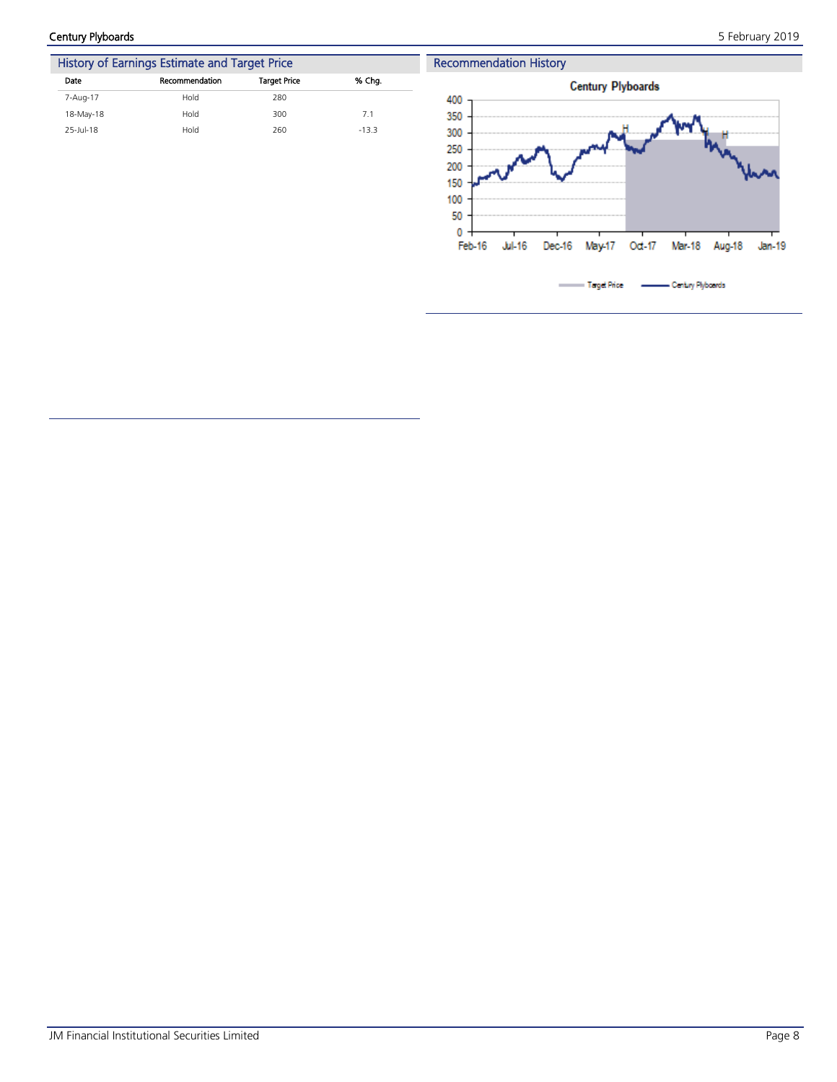Century Plyboards 5 February 2019



| History of Earnings Estimate and Target Price |                     |         |  |  |  |  |
|-----------------------------------------------|---------------------|---------|--|--|--|--|
| Recommendation                                | <b>Target Price</b> | % Cha.  |  |  |  |  |
| Hold                                          | 280                 |         |  |  |  |  |
| Hold                                          | 300                 | 7.1     |  |  |  |  |
| Hold                                          | 260                 | $-13.3$ |  |  |  |  |
|                                               |                     |         |  |  |  |  |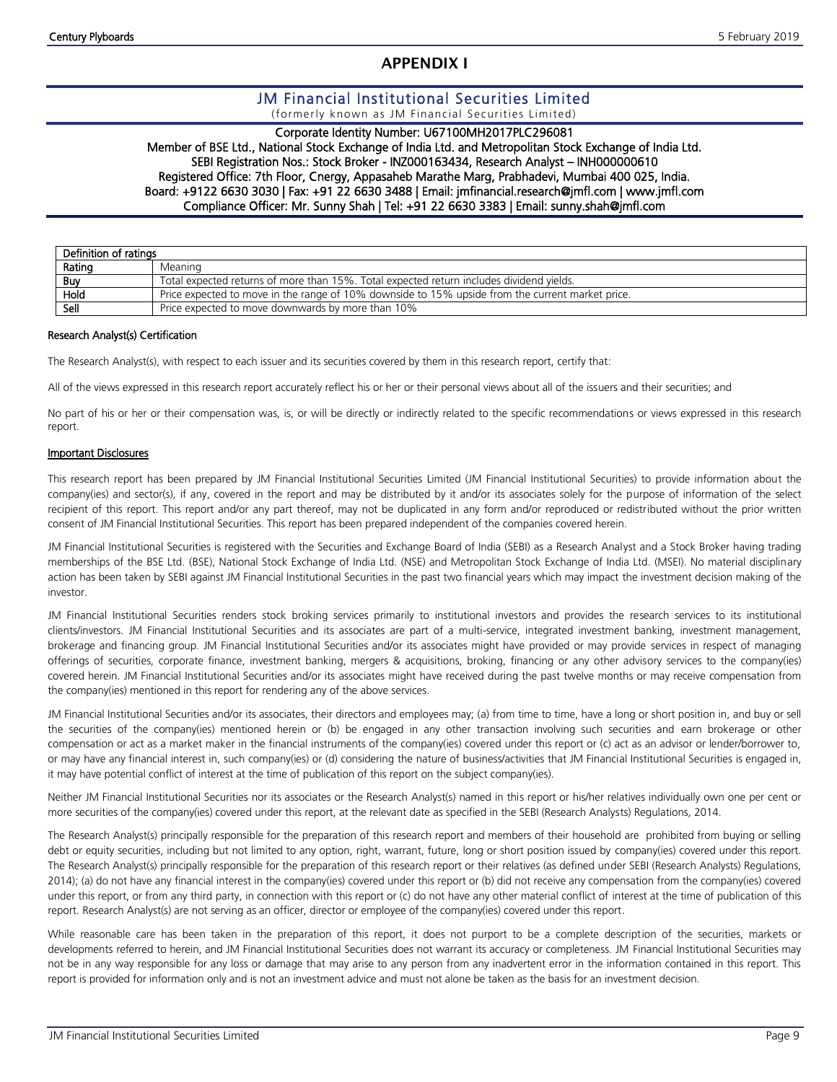# **APPENDIX I**

# JM Financial Institutional Securities Limited

(formerly known as JM Financial Securities Limited)

# Corporate Identity Number: U67100MH2017PLC296081

Member of BSE Ltd., National Stock Exchange of India Ltd. and Metropolitan Stock Exchange of India Ltd. SEBI Registration Nos.: Stock Broker - INZ000163434, Research Analyst – INH000000610 Registered Office: 7th Floor, Cnergy, Appasaheb Marathe Marg, Prabhadevi, Mumbai 400 025, India. Board: +9122 6630 3030 | Fax: +91 22 6630 3488 | Email: jmfinancial.research@jmfl.com | www.jmfl.com Compliance Officer: Mr. Sunny Shah | Tel: +91 22 6630 3383 | Email: sunny.shah@jmfl.com

| Definition of ratings |                                                                                                  |
|-----------------------|--------------------------------------------------------------------------------------------------|
| Rating                | Meaning                                                                                          |
| Buy                   | Total expected returns of more than 15%. Total expected return includes dividend yields.         |
| Hold                  | Price expected to move in the range of 10% downside to 15% upside from the current market price. |
| Sell                  | Price expected to move downwards by more than 10%                                                |

#### Research Analyst(s) Certification

The Research Analyst(s), with respect to each issuer and its securities covered by them in this research report, certify that:

All of the views expressed in this research report accurately reflect his or her or their personal views about all of the issuers and their securities; and

No part of his or her or their compensation was, is, or will be directly or indirectly related to the specific recommendations or views expressed in this research report.

#### Important Disclosures

This research report has been prepared by JM Financial Institutional Securities Limited (JM Financial Institutional Securities) to provide information about the company(ies) and sector(s), if any, covered in the report and may be distributed by it and/or its associates solely for the purpose of information of the select recipient of this report. This report and/or any part thereof, may not be duplicated in any form and/or reproduced or redistributed without the prior written consent of JM Financial Institutional Securities. This report has been prepared independent of the companies covered herein.

JM Financial Institutional Securities is registered with the Securities and Exchange Board of India (SEBI) as a Research Analyst and a Stock Broker having trading memberships of the BSE Ltd. (BSE), National Stock Exchange of India Ltd. (NSE) and Metropolitan Stock Exchange of India Ltd. (MSEI). No material disciplinary action has been taken by SEBI against JM Financial Institutional Securities in the past two financial years which may impact the investment decision making of the investor.

JM Financial Institutional Securities renders stock broking services primarily to institutional investors and provides the research services to its institutional clients/investors. JM Financial Institutional Securities and its associates are part of a multi-service, integrated investment banking, investment management, brokerage and financing group. JM Financial Institutional Securities and/or its associates might have provided or may provide services in respect of managing offerings of securities, corporate finance, investment banking, mergers & acquisitions, broking, financing or any other advisory services to the company(ies) covered herein. JM Financial Institutional Securities and/or its associates might have received during the past twelve months or may receive compensation from the company(ies) mentioned in this report for rendering any of the above services.

JM Financial Institutional Securities and/or its associates, their directors and employees may; (a) from time to time, have a long or short position in, and buy or sell the securities of the company(ies) mentioned herein or (b) be engaged in any other transaction involving such securities and earn brokerage or other compensation or act as a market maker in the financial instruments of the company(ies) covered under this report or (c) act as an advisor or lender/borrower to, or may have any financial interest in, such company(ies) or (d) considering the nature of business/activities that JM Financial Institutional Securities is engaged in, it may have potential conflict of interest at the time of publication of this report on the subject company(ies).

Neither JM Financial Institutional Securities nor its associates or the Research Analyst(s) named in this report or his/her relatives individually own one per cent or more securities of the company(ies) covered under this report, at the relevant date as specified in the SEBI (Research Analysts) Regulations, 2014.

The Research Analyst(s) principally responsible for the preparation of this research report and members of their household are prohibited from buying or selling debt or equity securities, including but not limited to any option, right, warrant, future, long or short position issued by company(ies) covered under this report. The Research Analyst(s) principally responsible for the preparation of this research report or their relatives (as defined under SEBI (Research Analysts) Regulations, 2014); (a) do not have any financial interest in the company(ies) covered under this report or (b) did not receive any compensation from the company(ies) covered under this report, or from any third party, in connection with this report or (c) do not have any other material conflict of interest at the time of publication of this report. Research Analyst(s) are not serving as an officer, director or employee of the company(ies) covered under this report.

While reasonable care has been taken in the preparation of this report, it does not purport to be a complete description of the securities, markets or developments referred to herein, and JM Financial Institutional Securities does not warrant its accuracy or completeness. JM Financial Institutional Securities may not be in any way responsible for any loss or damage that may arise to any person from any inadvertent error in the information contained in this report. This report is provided for information only and is not an investment advice and must not alone be taken as the basis for an investment decision.